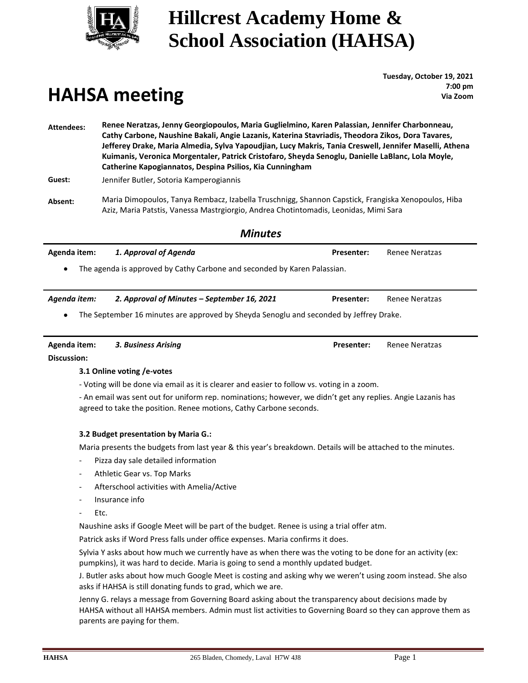

### **Hillcrest Academy Home & School Association (HAHSA)**

# **HAHSA meeting**

**Tuesday, October 19, 2021 : 7:00 pm Via Zoom**

**Attendees: Renee Neratzas, Jenny Georgiopoulos, Maria Guglielmino, Karen Palassian, Jennifer Charbonneau, Cathy Carbone, Naushine Bakali, Angie Lazanis, Katerina Stavriadis, Theodora Zikos, Dora Tavares, Jefferey Drake, Maria Almedia, Sylva Yapoudjian, Lucy Makris, Tania Creswell, Jennifer Maselli, Athena Kuimanis, Veronica Morgentaler, Patrick Cristofaro, Sheyda Senoglu, Danielle LaBlanc, Lola Moyle, Catherine Kapogiannatos, Despina Psilios, Kia Cunningham**

**Guest:** Jennifer Butler, Sotoria Kamperogiannis

**Absent:** Maria Dimopoulos, Tanya Rembacz, Izabella Truschnigg, Shannon Capstick, Frangiska Xenopoulos, Hiba Aziz, Maria Patstis, Vanessa Mastrgiorgio, Andrea Chotintomadis, Leonidas, Mimi Sara

*Minutes*

|                                      | <i>IVIINUTES</i>                                                                                                                                                                  |                   |                       |
|--------------------------------------|-----------------------------------------------------------------------------------------------------------------------------------------------------------------------------------|-------------------|-----------------------|
| Agenda item:                         | 1. Approval of Agenda                                                                                                                                                             | <b>Presenter:</b> | <b>Renee Neratzas</b> |
|                                      | The agenda is approved by Cathy Carbone and seconded by Karen Palassian.                                                                                                          |                   |                       |
| Agenda item:                         | 2. Approval of Minutes - September 16, 2021                                                                                                                                       | <b>Presenter:</b> | <b>Renee Neratzas</b> |
|                                      | The September 16 minutes are approved by Sheyda Senoglu and seconded by Jeffrey Drake.                                                                                            |                   |                       |
| Agenda item:                         | 3. Business Arising                                                                                                                                                               | <b>Presenter:</b> | <b>Renee Neratzas</b> |
| <b>Discussion:</b>                   |                                                                                                                                                                                   |                   |                       |
|                                      | 3.1 Online voting /e-votes                                                                                                                                                        |                   |                       |
|                                      | - Voting will be done via email as it is clearer and easier to follow vs. voting in a zoom.                                                                                       |                   |                       |
|                                      | - An email was sent out for uniform rep. nominations; however, we didn't get any replies. Angie Lazanis has<br>agreed to take the position. Renee motions, Cathy Carbone seconds. |                   |                       |
|                                      | 3.2 Budget presentation by Maria G.:                                                                                                                                              |                   |                       |
|                                      | Maria presents the budgets from last year & this year's breakdown. Details will be attached to the minutes.                                                                       |                   |                       |
| $\overline{\phantom{a}}$             | Pizza day sale detailed information                                                                                                                                               |                   |                       |
| $\overline{\phantom{a}}$             | Athletic Gear vs. Top Marks                                                                                                                                                       |                   |                       |
| $\overline{\phantom{a}}$             | Afterschool activities with Amelia/Active                                                                                                                                         |                   |                       |
| $\overline{\phantom{a}}$             | Insurance info                                                                                                                                                                    |                   |                       |
| Etc.<br>$\qquad \qquad \blacksquare$ |                                                                                                                                                                                   |                   |                       |
|                                      | Naushine asks if Google Meet will be part of the budget. Renee is using a trial offer atm.                                                                                        |                   |                       |
|                                      | Patrick asks if Word Press falls under office expenses. Maria confirms it does.                                                                                                   |                   |                       |
|                                      | Sylvia Y asks about how much we currently have as when there was the voting to be done for an activity (ex:                                                                       |                   |                       |

J. Butler asks about how much Google Meet is costing and asking why we weren't using zoom instead. She also asks if HAHSA is still donating funds to grad, which we are.

Jenny G. relays a message from Governing Board asking about the transparency about decisions made by HAHSA without all HAHSA members. Admin must list activities to Governing Board so they can approve them as parents are paying for them.

pumpkins), it was hard to decide. Maria is going to send a monthly updated budget.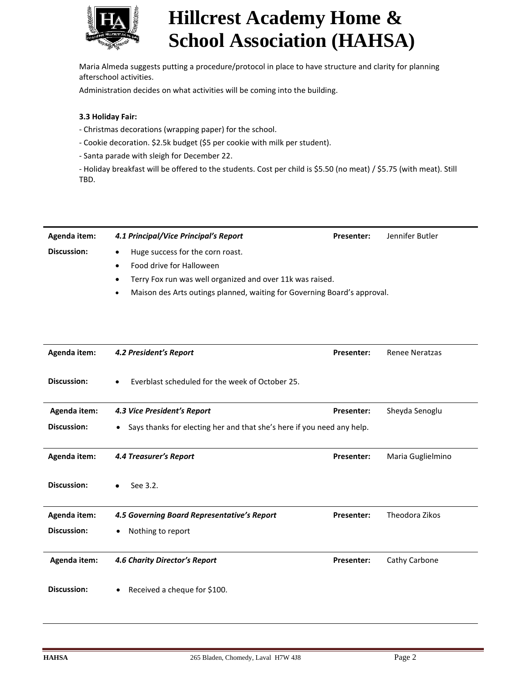

## **Hillcrest Academy Home & School Association (HAHSA)**

 Maria Almeda suggests putting a procedure/protocol in place to have structure and clarity for planning afterschool activities.

Administration decides on what activities will be coming into the building.

#### **3.3 Holiday Fair:**

- Christmas decorations (wrapping paper) for the school.
- Cookie decoration. \$2.5k budget (\$5 per cookie with milk per student).
- Santa parade with sleigh for December 22.
- Holiday breakfast will be offered to the students. Cost per child is \$5.50 (no meat) / \$5.75 (with meat). Still TBD.

| Agenda item:       | 4.1 Principal/Vice Principal's Report                                                 | <b>Presenter:</b> | Jennifer Butler |
|--------------------|---------------------------------------------------------------------------------------|-------------------|-----------------|
| <b>Discussion:</b> | Huge success for the corn roast.<br>$\bullet$                                         |                   |                 |
|                    | Food drive for Halloween                                                              |                   |                 |
|                    | Terry Fox run was well organized and over 11k was raised.<br>$\bullet$                |                   |                 |
|                    | Maison des Arts outings planned, waiting for Governing Board's approval.<br>$\bullet$ |                   |                 |

| Agenda item: | 4.2 President's Report                                                              | Presenter:        | <b>Renee Neratzas</b> |
|--------------|-------------------------------------------------------------------------------------|-------------------|-----------------------|
| Discussion:  | Everblast scheduled for the week of October 25.                                     |                   |                       |
| Agenda item: | 4.3 Vice President's Report                                                         | <b>Presenter:</b> | Sheyda Senoglu        |
| Discussion:  | Says thanks for electing her and that she's here if you need any help.<br>$\bullet$ |                   |                       |
|              |                                                                                     |                   |                       |
| Agenda item: | 4.4 Treasurer's Report                                                              | Presenter:        | Maria Guglielmino     |
| Discussion:  | See 3.2.                                                                            |                   |                       |
| Agenda item: | 4.5 Governing Board Representative's Report                                         | <b>Presenter:</b> | Theodora Zikos        |
| Discussion:  | Nothing to report                                                                   |                   |                       |
|              |                                                                                     |                   |                       |
| Agenda item: | 4.6 Charity Director's Report                                                       | Presenter:        | Cathy Carbone         |
| Discussion:  | Received a cheque for \$100.                                                        |                   |                       |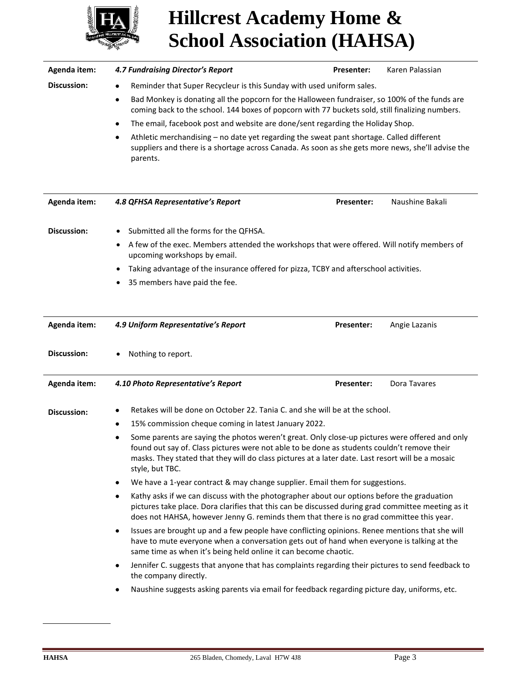

## **Hillcrest Academy Home & School Association (HAHSA)**

| Agenda item:       | <b>4.7 Fundraising Director's Report</b>                                                                                                                                                                                                                                                                              | Presenter:                                                                                                                                                                                    | Karen Palassian |  |
|--------------------|-----------------------------------------------------------------------------------------------------------------------------------------------------------------------------------------------------------------------------------------------------------------------------------------------------------------------|-----------------------------------------------------------------------------------------------------------------------------------------------------------------------------------------------|-----------------|--|
| <b>Discussion:</b> | Reminder that Super Recycleur is this Sunday with used uniform sales.<br>٠<br>Bad Monkey is donating all the popcorn for the Halloween fundraiser, so 100% of the funds are<br>$\bullet$<br>coming back to the school. 144 boxes of popcorn with 77 buckets sold, still finalizing numbers.                           |                                                                                                                                                                                               |                 |  |
|                    |                                                                                                                                                                                                                                                                                                                       |                                                                                                                                                                                               |                 |  |
|                    | The email, facebook post and website are done/sent regarding the Holiday Shop.<br>$\bullet$                                                                                                                                                                                                                           |                                                                                                                                                                                               |                 |  |
|                    | $\bullet$<br>parents.                                                                                                                                                                                                                                                                                                 | Athletic merchandising - no date yet regarding the sweat pant shortage. Called different<br>suppliers and there is a shortage across Canada. As soon as she gets more news, she'll advise the |                 |  |
| Agenda item:       | 4.8 QFHSA Representative's Report                                                                                                                                                                                                                                                                                     | Presenter:                                                                                                                                                                                    | Naushine Bakali |  |
| <b>Discussion:</b> | Submitted all the forms for the QFHSA.                                                                                                                                                                                                                                                                                |                                                                                                                                                                                               |                 |  |
|                    | A few of the exec. Members attended the workshops that were offered. Will notify members of<br>٠<br>upcoming workshops by email.                                                                                                                                                                                      |                                                                                                                                                                                               |                 |  |
|                    | Taking advantage of the insurance offered for pizza, TCBY and afterschool activities.<br>٠                                                                                                                                                                                                                            |                                                                                                                                                                                               |                 |  |
|                    | 35 members have paid the fee.                                                                                                                                                                                                                                                                                         |                                                                                                                                                                                               |                 |  |
|                    |                                                                                                                                                                                                                                                                                                                       |                                                                                                                                                                                               |                 |  |
| Agenda item:       | 4.9 Uniform Representative's Report                                                                                                                                                                                                                                                                                   | Presenter:                                                                                                                                                                                    | Angie Lazanis   |  |
| <b>Discussion:</b> | Nothing to report.                                                                                                                                                                                                                                                                                                    |                                                                                                                                                                                               |                 |  |
| Agenda item:       | 4.10 Photo Representative's Report                                                                                                                                                                                                                                                                                    | Presenter:                                                                                                                                                                                    | Dora Tavares    |  |
| <b>Discussion:</b> | Retakes will be done on October 22. Tania C. and she will be at the school.                                                                                                                                                                                                                                           |                                                                                                                                                                                               |                 |  |
|                    | 15% commission cheque coming in latest January 2022.<br>٠                                                                                                                                                                                                                                                             |                                                                                                                                                                                               |                 |  |
|                    | Some parents are saying the photos weren't great. Only close-up pictures were offered and only<br>found out say of. Class pictures were not able to be done as students couldn't remove their<br>masks. They stated that they will do class pictures at a later date. Last resort will be a mosaic<br>style, but TBC. |                                                                                                                                                                                               |                 |  |
|                    | We have a 1-year contract & may change supplier. Email them for suggestions.<br>٠                                                                                                                                                                                                                                     |                                                                                                                                                                                               |                 |  |
|                    | Kathy asks if we can discuss with the photographer about our options before the graduation<br>٠<br>pictures take place. Dora clarifies that this can be discussed during grad committee meeting as it<br>does not HAHSA, however Jenny G. reminds them that there is no grad committee this year.                     |                                                                                                                                                                                               |                 |  |
|                    | Issues are brought up and a few people have conflicting opinions. Renee mentions that she will<br>٠<br>have to mute everyone when a conversation gets out of hand when everyone is talking at the<br>same time as when it's being held online it can become chaotic.                                                  |                                                                                                                                                                                               |                 |  |
|                    | Jennifer C. suggests that anyone that has complaints regarding their pictures to send feedback to<br>٠<br>the company directly.                                                                                                                                                                                       |                                                                                                                                                                                               |                 |  |
|                    | Naushine suggests asking parents via email for feedback regarding picture day, uniforms, etc.<br>٠                                                                                                                                                                                                                    |                                                                                                                                                                                               |                 |  |